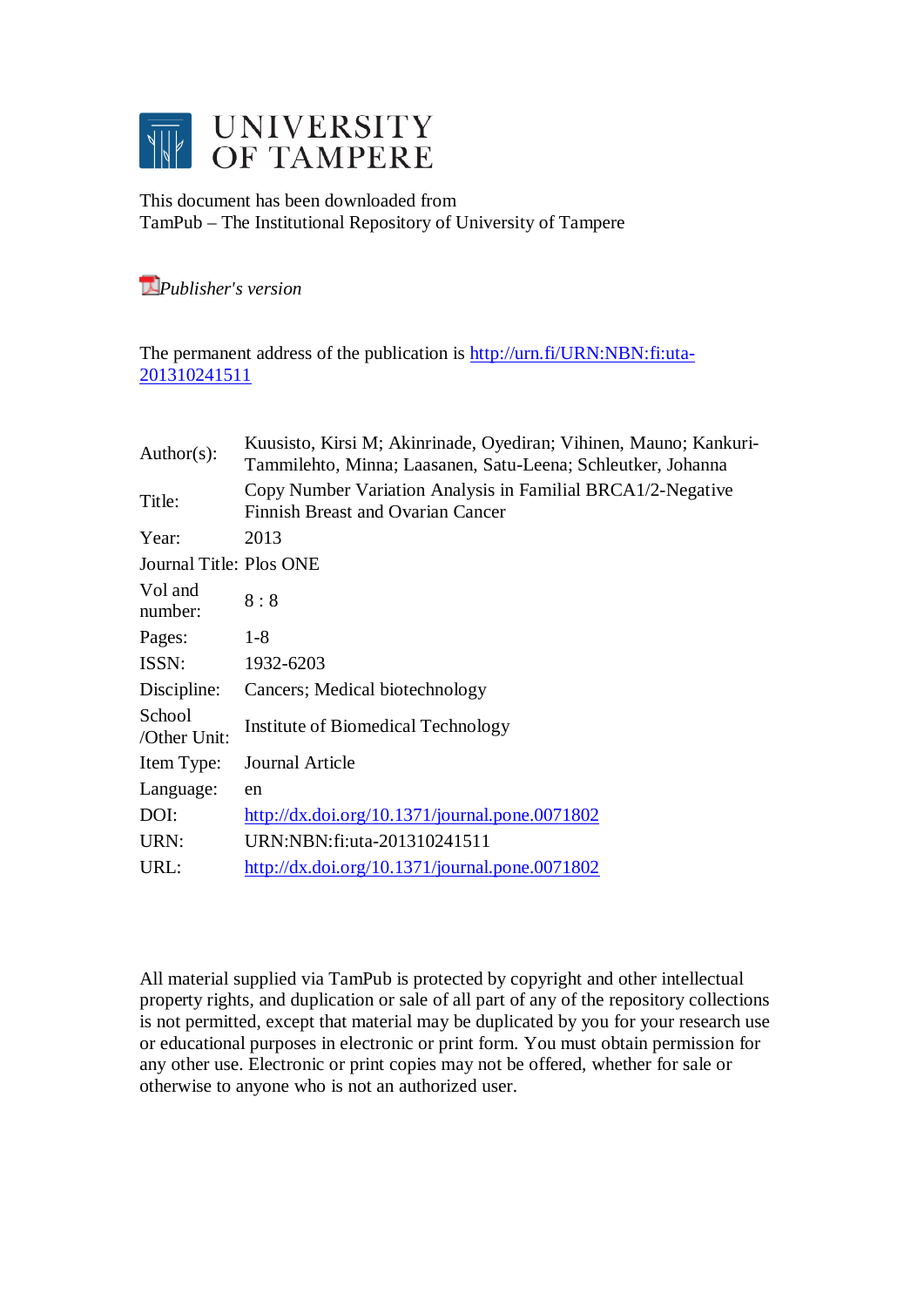

This document has been downloaded from TamPub – The Institutional Repository of University of Tampere

*[P](http://tampub.uta.fi/english/haekokoversio.php?id=1007)ublisher's version* 

The permanent address of the publication is [http://urn.fi/URN:NBN:fi:uta-](http://urn.fi/URN:NBN:fi:uta-201310241511)[201310241511](http://urn.fi/URN:NBN:fi:uta-201310241511)

| Author( $s$ ):          | Kuusisto, Kirsi M; Akinrinade, Oyediran; Vihinen, Mauno; Kankuri-<br>Tammilehto, Minna; Laasanen, Satu-Leena; Schleutker, Johanna |  |  |  |  |  |
|-------------------------|-----------------------------------------------------------------------------------------------------------------------------------|--|--|--|--|--|
| Title:                  | Copy Number Variation Analysis in Familial BRCA1/2-Negative<br>Finnish Breast and Ovarian Cancer                                  |  |  |  |  |  |
| Year:                   | 2013                                                                                                                              |  |  |  |  |  |
| Journal Title: Plos ONE |                                                                                                                                   |  |  |  |  |  |
| Vol and<br>number:      | 8:8                                                                                                                               |  |  |  |  |  |
| Pages:                  | $1-8$                                                                                                                             |  |  |  |  |  |
| ISSN:                   | 1932-6203                                                                                                                         |  |  |  |  |  |
| Discipline:             | Cancers; Medical biotechnology                                                                                                    |  |  |  |  |  |
| School<br>/Other Unit:  | Institute of Biomedical Technology                                                                                                |  |  |  |  |  |
| Item Type:              | Journal Article                                                                                                                   |  |  |  |  |  |
| Language:               | en                                                                                                                                |  |  |  |  |  |
| DOI:                    | $\frac{\text{http://dx.doi.org/10.1371/journal.pone.0071802}}{$                                                                   |  |  |  |  |  |
| URN:                    | URN:NBN:fi:uta-201310241511                                                                                                       |  |  |  |  |  |
| URL:                    | $\frac{http://dx.doi.org/10.1371/journal.pone.0071802}{http://dx.doi.org/10.1371/journal.pone.0071802}$                           |  |  |  |  |  |
|                         |                                                                                                                                   |  |  |  |  |  |

All material supplied via TamPub is protected by copyright and other intellectual property rights, and duplication or sale of all part of any of the repository collections is not permitted, except that material may be duplicated by you for your research use or educational purposes in electronic or print form. You must obtain permission for any other use. Electronic or print copies may not be offered, whether for sale or otherwise to anyone who is not an authorized user.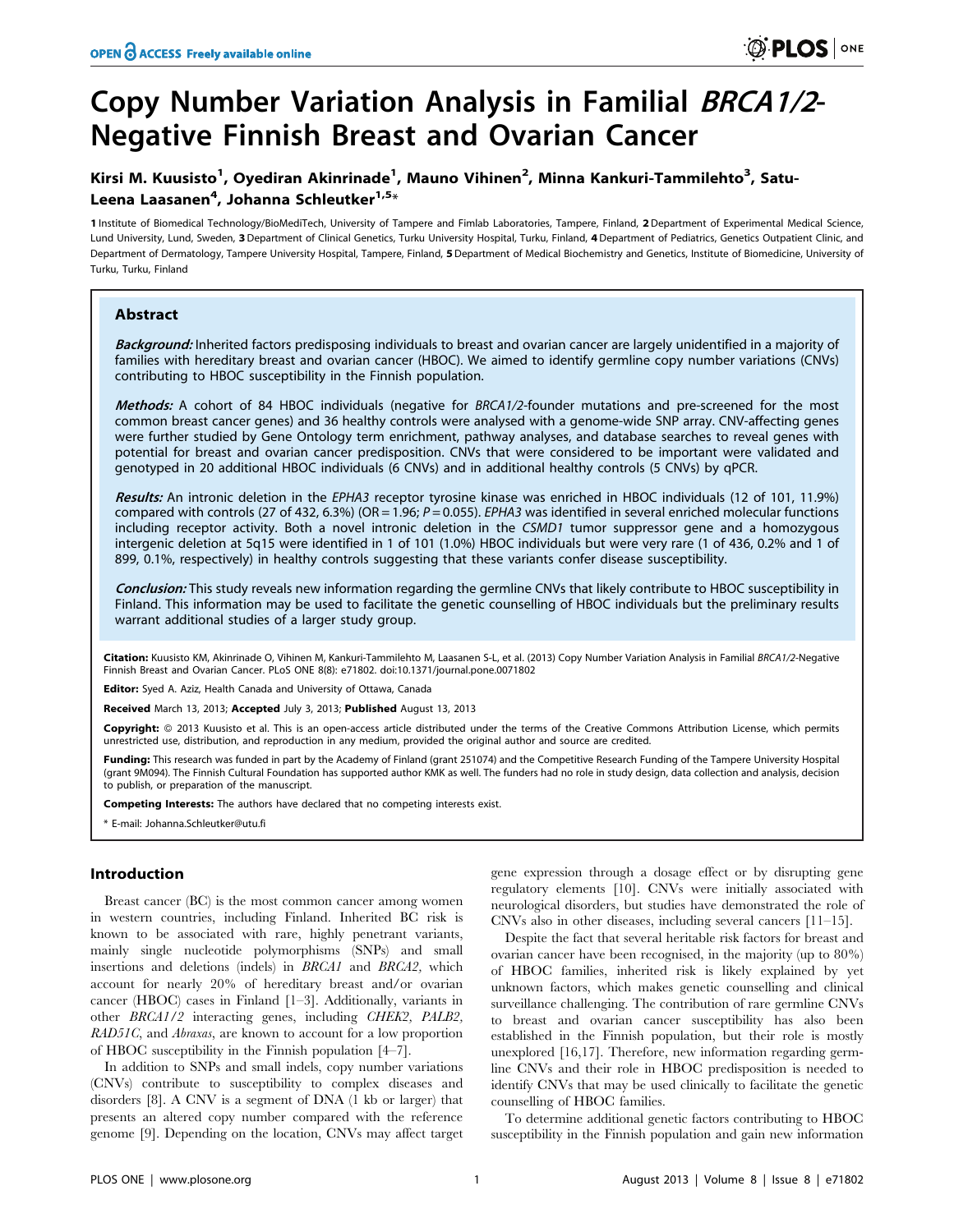# Copy Number Variation Analysis in Familial BRCA1/2- Negative Finnish Breast and Ovarian Cancer

# Kirsi M. Kuusisto<sup>1</sup>, Oyediran Akinrinade<sup>1</sup>, Mauno Vihinen<sup>2</sup>, Minna Kankuri-Tammilehto<sup>3</sup>, Satu-Leena Laasanen<sup>4</sup>, Johanna Schleutker<sup>1,5</sup>\*

1 Institute of Biomedical Technology/BioMediTech, University of Tampere and Fimlab Laboratories, Tampere, Finland, 2Department of Experimental Medical Science, Lund University, Lund, Sweden, 3 Department of Clinical Genetics, Turku University Hospital, Turku, Finland, 4 Department of Pediatrics, Genetics Outpatient Clinic, and Department of Dermatology, Tampere University Hospital, Tampere, Finland, 5 Department of Medical Biochemistry and Genetics, Institute of Biomedicine, University of Turku, Turku, Finland

# Abstract

Background: Inherited factors predisposing individuals to breast and ovarian cancer are largely unidentified in a majority of families with hereditary breast and ovarian cancer (HBOC). We aimed to identify germline copy number variations (CNVs) contributing to HBOC susceptibility in the Finnish population.

Methods: A cohort of 84 HBOC individuals (negative for BRCA1/2-founder mutations and pre-screened for the most common breast cancer genes) and 36 healthy controls were analysed with a genome-wide SNP array. CNV-affecting genes were further studied by Gene Ontology term enrichment, pathway analyses, and database searches to reveal genes with potential for breast and ovarian cancer predisposition. CNVs that were considered to be important were validated and genotyped in 20 additional HBOC individuals (6 CNVs) and in additional healthy controls (5 CNVs) by qPCR.

Results: An intronic deletion in the EPHA3 receptor tyrosine kinase was enriched in HBOC individuals (12 of 101, 11.9%) compared with controls (27 of 432, 6.3%) (OR = 1.96;  $P = 0.055$ ). *EPHA3* was identified in several enriched molecular functions including receptor activity. Both a novel intronic deletion in the CSMD1 tumor suppressor gene and a homozygous intergenic deletion at 5q15 were identified in 1 of 101 (1.0%) HBOC individuals but were very rare (1 of 436, 0.2% and 1 of 899, 0.1%, respectively) in healthy controls suggesting that these variants confer disease susceptibility.

Conclusion: This study reveals new information regarding the germline CNVs that likely contribute to HBOC susceptibility in Finland. This information may be used to facilitate the genetic counselling of HBOC individuals but the preliminary results warrant additional studies of a larger study group.

Citation: Kuusisto KM, Akinrinade O, Vihinen M, Kankuri-Tammilehto M, Laasanen S-L, et al. (2013) Copy Number Variation Analysis in Familial BRCA1/2-Negative Finnish Breast and Ovarian Cancer. PLoS ONE 8(8): e71802. doi:10.1371/journal.pone.0071802

Editor: Syed A. Aziz, Health Canada and University of Ottawa, Canada

Received March 13, 2013; Accepted July 3, 2013; Published August 13, 2013

Copyright: © 2013 Kuusisto et al. This is an open-access article distributed under the terms of the Creative Commons Attribution License, which permits unrestricted use, distribution, and reproduction in any medium, provided the original author and source are credited.

Funding: This research was funded in part by the Academy of Finland (grant 251074) and the Competitive Research Funding of the Tampere University Hospital (grant 9M094). The Finnish Cultural Foundation has supported author KMK as well. The funders had no role in study design, data collection and analysis, decision to publish, or preparation of the manuscript.

Competing Interests: The authors have declared that no competing interests exist.

\* E-mail: Johanna.Schleutker@utu.fi

# Introduction

Breast cancer (BC) is the most common cancer among women in western countries, including Finland. Inherited BC risk is known to be associated with rare, highly penetrant variants, mainly single nucleotide polymorphisms (SNPs) and small insertions and deletions (indels) in BRCA1 and BRCA2, which account for nearly 20% of hereditary breast and/or ovarian cancer (HBOC) cases in Finland [1–3]. Additionally, variants in other BRCA1/2 interacting genes, including CHEK2, PALB2, RAD51C, and Abraxas, are known to account for a low proportion of HBOC susceptibility in the Finnish population [4–7].

In addition to SNPs and small indels, copy number variations (CNVs) contribute to susceptibility to complex diseases and disorders [8]. A CNV is a segment of DNA (1 kb or larger) that presents an altered copy number compared with the reference genome [9]. Depending on the location, CNVs may affect target

gene expression through a dosage effect or by disrupting gene regulatory elements [10]. CNVs were initially associated with neurological disorders, but studies have demonstrated the role of CNVs also in other diseases, including several cancers [11–15].

Despite the fact that several heritable risk factors for breast and ovarian cancer have been recognised, in the majority (up to 80%) of HBOC families, inherited risk is likely explained by yet unknown factors, which makes genetic counselling and clinical surveillance challenging. The contribution of rare germline CNVs to breast and ovarian cancer susceptibility has also been established in the Finnish population, but their role is mostly unexplored [16,17]. Therefore, new information regarding germline CNVs and their role in HBOC predisposition is needed to identify CNVs that may be used clinically to facilitate the genetic counselling of HBOC families.

To determine additional genetic factors contributing to HBOC susceptibility in the Finnish population and gain new information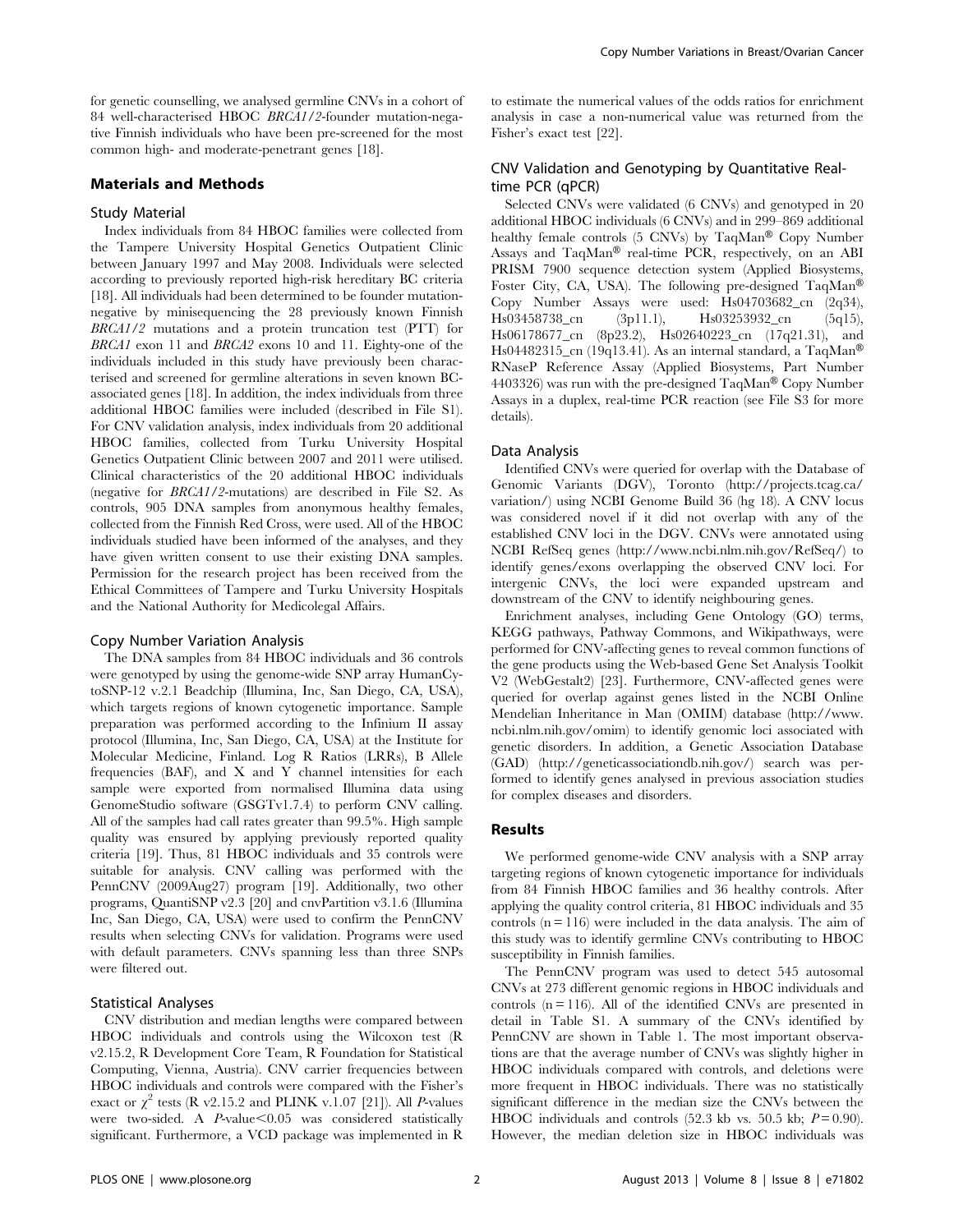for genetic counselling, we analysed germline CNVs in a cohort of 84 well-characterised HBOC BRCA1/2-founder mutation-negative Finnish individuals who have been pre-screened for the most common high- and moderate-penetrant genes [18].

#### Materials and Methods

# Study Material

Index individuals from 84 HBOC families were collected from the Tampere University Hospital Genetics Outpatient Clinic between January 1997 and May 2008. Individuals were selected according to previously reported high-risk hereditary BC criteria [18]. All individuals had been determined to be founder mutationnegative by minisequencing the 28 previously known Finnish BRCA1/2 mutations and a protein truncation test (PTT) for BRCA1 exon 11 and BRCA2 exons 10 and 11. Eighty-one of the individuals included in this study have previously been characterised and screened for germline alterations in seven known BCassociated genes [18]. In addition, the index individuals from three additional HBOC families were included (described in File S1). For CNV validation analysis, index individuals from 20 additional HBOC families, collected from Turku University Hospital Genetics Outpatient Clinic between 2007 and 2011 were utilised. Clinical characteristics of the 20 additional HBOC individuals (negative for BRCA1/2-mutations) are described in File S2. As controls, 905 DNA samples from anonymous healthy females, collected from the Finnish Red Cross, were used. All of the HBOC individuals studied have been informed of the analyses, and they have given written consent to use their existing DNA samples. Permission for the research project has been received from the Ethical Committees of Tampere and Turku University Hospitals and the National Authority for Medicolegal Affairs.

#### Copy Number Variation Analysis

The DNA samples from 84 HBOC individuals and 36 controls were genotyped by using the genome-wide SNP array HumanCytoSNP-12 v.2.1 Beadchip (Illumina, Inc, San Diego, CA, USA), which targets regions of known cytogenetic importance. Sample preparation was performed according to the Infinium II assay protocol (Illumina, Inc, San Diego, CA, USA) at the Institute for Molecular Medicine, Finland. Log R Ratios (LRRs), B Allele frequencies (BAF), and X and Y channel intensities for each sample were exported from normalised Illumina data using GenomeStudio software (GSGTv1.7.4) to perform CNV calling. All of the samples had call rates greater than 99.5%. High sample quality was ensured by applying previously reported quality criteria [19]. Thus, 81 HBOC individuals and 35 controls were suitable for analysis. CNV calling was performed with the PennCNV (2009Aug27) program [19]. Additionally, two other programs, QuantiSNP v2.3 [20] and cnvPartition v3.1.6 (Illumina Inc, San Diego, CA, USA) were used to confirm the PennCNV results when selecting CNVs for validation. Programs were used with default parameters. CNVs spanning less than three SNPs were filtered out.

# Statistical Analyses

CNV distribution and median lengths were compared between HBOC individuals and controls using the Wilcoxon test (R v2.15.2, R Development Core Team, R Foundation for Statistical Computing, Vienna, Austria). CNV carrier frequencies between HBOC individuals and controls were compared with the Fisher's exact or  $\chi^2$  tests (R v2.15.2 and PLINK v.1.07 [21]). All *P*-values were two-sided. A  $P$ -value $< 0.05$  was considered statistically significant. Furthermore, a VCD package was implemented in R to estimate the numerical values of the odds ratios for enrichment analysis in case a non-numerical value was returned from the Fisher's exact test [22].

# CNV Validation and Genotyping by Quantitative Realtime PCR (qPCR)

Selected CNVs were validated (6 CNVs) and genotyped in 20 additional HBOC individuals (6 CNVs) and in 299–869 additional healthy female controls (5 CNVs) by TaqMan® Copy Number Assays and TaqMan® real-time PCR, respectively, on an ABI PRISM 7900 sequence detection system (Applied Biosystems, Foster City, CA, USA). The following pre-designed  $TaqMan^{\circledR}$ Copy Number Assays were used: Hs04703682\_cn (2q34), Hs03458738\_cn (3p11.1), Hs03253932\_cn (5q15), Hs06178677\_cn (8p23.2), Hs02640223\_cn (17q21.31), and Hs04482315\_cn (19q13.41). As an internal standard, a TaqMan<sup>®</sup> RNaseP Reference Assay (Applied Biosystems, Part Number 4403326) was run with the pre-designed TaqMan® Copy Number Assays in a duplex, real-time PCR reaction (see File S3 for more details).

#### Data Analysis

Identified CNVs were queried for overlap with the Database of Genomic Variants (DGV), Toronto (http://projects.tcag.ca/ variation/) using NCBI Genome Build 36 (hg 18). A CNV locus was considered novel if it did not overlap with any of the established CNV loci in the DGV. CNVs were annotated using NCBI RefSeq genes (http://www.ncbi.nlm.nih.gov/RefSeq/) to identify genes/exons overlapping the observed CNV loci. For intergenic CNVs, the loci were expanded upstream and downstream of the CNV to identify neighbouring genes.

Enrichment analyses, including Gene Ontology (GO) terms, KEGG pathways, Pathway Commons, and Wikipathways, were performed for CNV-affecting genes to reveal common functions of the gene products using the Web-based Gene Set Analysis Toolkit V2 (WebGestalt2) [23]. Furthermore, CNV-affected genes were queried for overlap against genes listed in the NCBI Online Mendelian Inheritance in Man (OMIM) database (http://www. ncbi.nlm.nih.gov/omim) to identify genomic loci associated with genetic disorders. In addition, a Genetic Association Database (GAD) (http://geneticassociationdb.nih.gov/) search was performed to identify genes analysed in previous association studies for complex diseases and disorders.

# Results

We performed genome-wide CNV analysis with a SNP array targeting regions of known cytogenetic importance for individuals from 84 Finnish HBOC families and 36 healthy controls. After applying the quality control criteria, 81 HBOC individuals and 35 controls  $(n = 116)$  were included in the data analysis. The aim of this study was to identify germline CNVs contributing to HBOC susceptibility in Finnish families.

The PennCNV program was used to detect 545 autosomal CNVs at 273 different genomic regions in HBOC individuals and controls  $(n = 116)$ . All of the identified CNVs are presented in detail in Table S1. A summary of the CNVs identified by PennCNV are shown in Table 1. The most important observations are that the average number of CNVs was slightly higher in HBOC individuals compared with controls, and deletions were more frequent in HBOC individuals. There was no statistically significant difference in the median size the CNVs between the HBOC individuals and controls (52.3 kb vs. 50.5 kb;  $P = 0.90$ ). However, the median deletion size in HBOC individuals was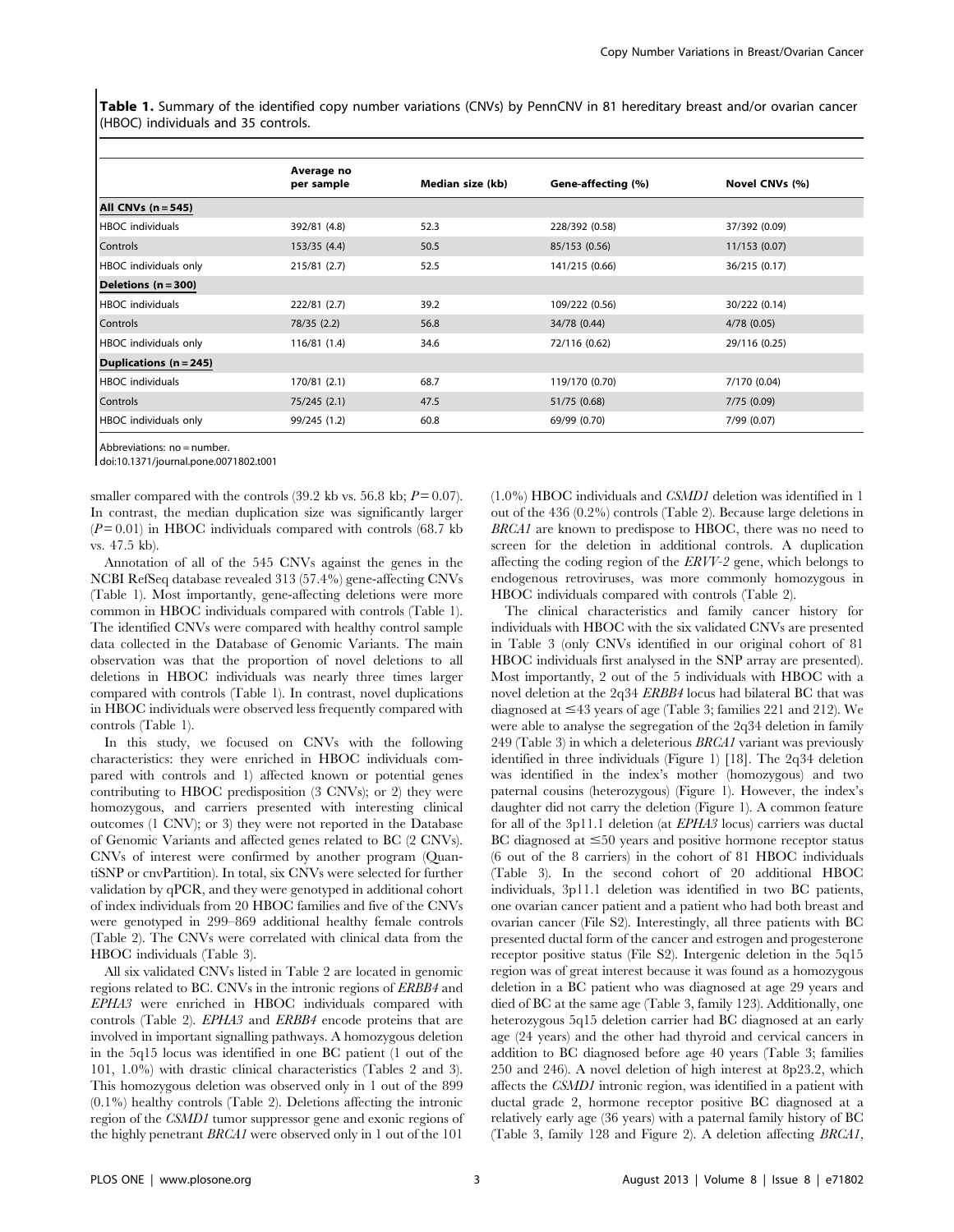Table 1. Summary of the identified copy number variations (CNVs) by PennCNV in 81 hereditary breast and/or ovarian cancer (HBOC) individuals and 35 controls.

|                         | Average no<br>per sample | Median size (kb) | Gene-affecting (%) | Novel CNVs (%) |
|-------------------------|--------------------------|------------------|--------------------|----------------|
| All CNVs $(n = 545)$    |                          |                  |                    |                |
| HBOC individuals        | 392/81 (4.8)             | 52.3             | 228/392 (0.58)     | 37/392 (0.09)  |
| Controls                | 153/35(4.4)              | 50.5             | 85/153 (0.56)      | 11/153 (0.07)  |
| HBOC individuals only   | 215/81 (2.7)             | 52.5             | 141/215 (0.66)     | 36/215 (0.17)  |
| Deletions (n = 300)     |                          |                  |                    |                |
| HBOC individuals        | 222/81 (2.7)             | 39.2             | 109/222 (0.56)     | 30/222 (0.14)  |
| Controls                | 78/35 (2.2)              | 56.8             | 34/78 (0.44)       | 4/78(0.05)     |
| HBOC individuals only   | 116/81(1.4)              | 34.6             | 72/116 (0.62)      | 29/116 (0.25)  |
| Duplications (n = 245)  |                          |                  |                    |                |
| <b>HBOC</b> individuals | 170/81 (2.1)             | 68.7             | 119/170 (0.70)     | 7/170 (0.04)   |
| Controls                | 75/245 (2.1)             | 47.5             | 51/75 (0.68)       | 7/75(0.09)     |
| HBOC individuals only   | 99/245 (1.2)             | 60.8             | 69/99 (0.70)       | 7/99 (0.07)    |

Abbreviations: no = number.

doi:10.1371/journal.pone.0071802.t001

smaller compared with the controls (39.2 kb vs. 56.8 kb;  $P = 0.07$ ). In contrast, the median duplication size was significantly larger  $(P=0.01)$  in HBOC individuals compared with controls (68.7 kb) vs. 47.5 kb).

Annotation of all of the 545 CNVs against the genes in the NCBI RefSeq database revealed 313 (57.4%) gene-affecting CNVs (Table 1). Most importantly, gene-affecting deletions were more common in HBOC individuals compared with controls (Table 1). The identified CNVs were compared with healthy control sample data collected in the Database of Genomic Variants. The main observation was that the proportion of novel deletions to all deletions in HBOC individuals was nearly three times larger compared with controls (Table 1). In contrast, novel duplications in HBOC individuals were observed less frequently compared with controls (Table 1).

In this study, we focused on CNVs with the following characteristics: they were enriched in HBOC individuals compared with controls and 1) affected known or potential genes contributing to HBOC predisposition (3 CNVs); or 2) they were homozygous, and carriers presented with interesting clinical outcomes (1 CNV); or 3) they were not reported in the Database of Genomic Variants and affected genes related to BC (2 CNVs). CNVs of interest were confirmed by another program (QuantiSNP or cnvPartition). In total, six CNVs were selected for further validation by qPCR, and they were genotyped in additional cohort of index individuals from 20 HBOC families and five of the CNVs were genotyped in 299–869 additional healthy female controls (Table 2). The CNVs were correlated with clinical data from the HBOC individuals (Table 3).

All six validated CNVs listed in Table 2 are located in genomic regions related to BC. CNVs in the intronic regions of ERBB4 and EPHA3 were enriched in HBOC individuals compared with controls (Table 2). EPHA3 and ERBB4 encode proteins that are involved in important signalling pathways. A homozygous deletion in the 5q15 locus was identified in one BC patient (1 out of the 101, 1.0%) with drastic clinical characteristics (Tables 2 and 3). This homozygous deletion was observed only in 1 out of the 899 (0.1%) healthy controls (Table 2). Deletions affecting the intronic region of the CSMD1 tumor suppressor gene and exonic regions of the highly penetrant BRCA1 were observed only in 1 out of the 101 (1.0%) HBOC individuals and CSMD1 deletion was identified in 1 out of the 436 (0.2%) controls (Table 2). Because large deletions in BRCA1 are known to predispose to HBOC, there was no need to screen for the deletion in additional controls. A duplication affecting the coding region of the ERVV-2 gene, which belongs to endogenous retroviruses, was more commonly homozygous in HBOC individuals compared with controls (Table 2).

The clinical characteristics and family cancer history for individuals with HBOC with the six validated CNVs are presented in Table 3 (only CNVs identified in our original cohort of 81 HBOC individuals first analysed in the SNP array are presented). Most importantly, 2 out of the 5 individuals with HBOC with a novel deletion at the 2q34 ERBB4 locus had bilateral BC that was diagnosed at  $\leq 43$  years of age (Table 3; families 221 and 212). We were able to analyse the segregation of the 2q34 deletion in family 249 (Table 3) in which a deleterious  $BRCA1$  variant was previously identified in three individuals (Figure 1) [18]. The 2q34 deletion was identified in the index's mother (homozygous) and two paternal cousins (heterozygous) (Figure 1). However, the index's daughter did not carry the deletion (Figure 1). A common feature for all of the 3p11.1 deletion (at EPHA3 locus) carriers was ductal BC diagnosed at  $\leq 50$  years and positive hormone receptor status (6 out of the 8 carriers) in the cohort of 81 HBOC individuals (Table 3). In the second cohort of 20 additional HBOC individuals, 3p11.1 deletion was identified in two BC patients, one ovarian cancer patient and a patient who had both breast and ovarian cancer (File S2). Interestingly, all three patients with BC presented ductal form of the cancer and estrogen and progesterone receptor positive status (File S2). Intergenic deletion in the 5q15 region was of great interest because it was found as a homozygous deletion in a BC patient who was diagnosed at age 29 years and died of BC at the same age (Table 3, family 123). Additionally, one heterozygous 5q15 deletion carrier had BC diagnosed at an early age (24 years) and the other had thyroid and cervical cancers in addition to BC diagnosed before age 40 years (Table 3; families 250 and 246). A novel deletion of high interest at 8p23.2, which affects the CSMD1 intronic region, was identified in a patient with ductal grade 2, hormone receptor positive BC diagnosed at a relatively early age (36 years) with a paternal family history of BC (Table 3, family 128 and Figure 2). A deletion affecting BRCA1,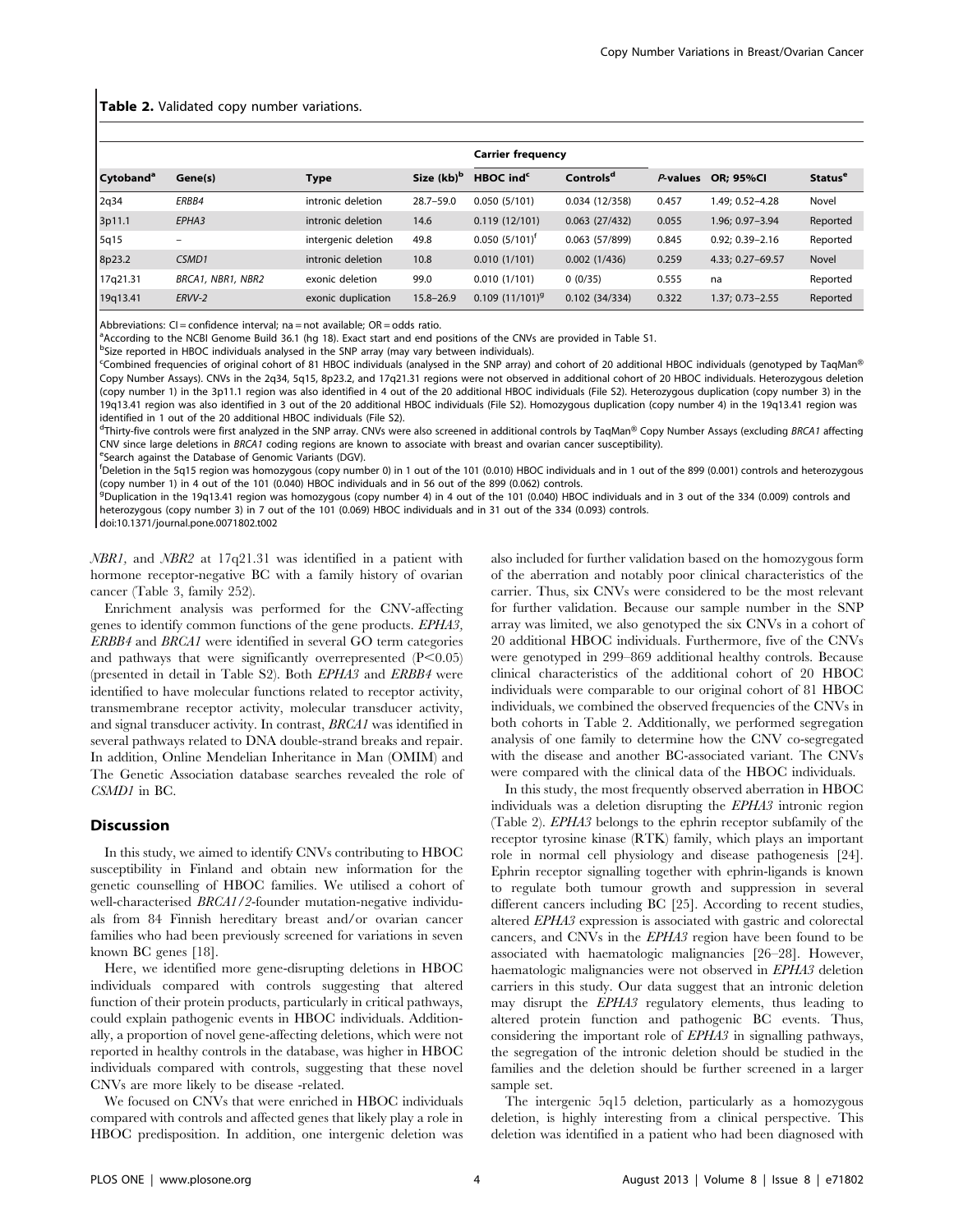#### Table 2. Validated copy number variations.

|                       |                   |                     |                        | <b>Carrier frequency</b> |                       |          |                     |                           |
|-----------------------|-------------------|---------------------|------------------------|--------------------------|-----------------------|----------|---------------------|---------------------------|
| Cytoband <sup>a</sup> | Gene(s)           | <b>Type</b>         | Size (kb) <sup>b</sup> | HBOC ind <sup>c</sup>    | Controls <sup>d</sup> | P-values | <b>OR: 95%CI</b>    | <b>Status<sup>e</sup></b> |
| 2q34                  | ERBB4             | intronic deletion   | $28.7 - 59.0$          | 0.050(5/101)             | 0.034(12/358)         | 0.457    | 1.49; 0.52-4.28     | Novel                     |
| 3p11.1                | EPHA3             | intronic deletion   | 14.6                   | 0.119(12/101)            | 0.063(27/432)         | 0.055    | 1.96; 0.97-3.94     | Reported                  |
| 5q15                  |                   | intergenic deletion | 49.8                   | $0.050$ $(5/101)^{r}$    | 0.063(57/899)         | 0.845    | $0.92: 0.39 - 2.16$ | Reported                  |
| 8p23.2                | CSMD1             | intronic deletion   | 10.8                   | 0.010(1/101)             | 0.002(1/436)          | 0.259    | 4.33; 0.27-69.57    | Novel                     |
| 17q21.31              | BRCA1, NBR1, NBR2 | exonic deletion     | 99.0                   | 0.010(1/101)             | 0(0/35)               | 0.555    | na                  | Reported                  |
| 19q13.41              | ERVV-2            | exonic duplication  | $15.8 - 26.9$          | $0.109(11/101)^9$        | 0.102(34/334)         | 0.322    | 1.37; 0.73-2.55     | Reported                  |

Abbreviations:  $CI =$  confidence interval; na = not available;  $OR =$  odds ratio.

a According to the NCBI Genome Build 36.1 (hg 18). Exact start and end positions of the CNVs are provided in Table S1.

<sup>b</sup>Size reported in HBOC individuals analysed in the SNP array (may vary between individuals).

 $\epsilon$ Combined frequencies of original cohort of 81 HBOC individuals (analysed in the SNP array) and cohort of 20 additional HBOC individuals (genotyped by TaqMan® Copy Number Assays). CNVs in the 2q34, 5q15, 8p23.2, and 17q21.31 regions were not observed in additional cohort of 20 HBOC individuals. Heterozygous deletion (copy number 1) in the 3p11.1 region was also identified in 4 out of the 20 additional HBOC individuals (File S2). Heterozygous duplication (copy number 3) in the 19q13.41 region was also identified in 3 out of the 20 additional HBOC individuals (File S2). Homozygous duplication (copy number 4) in the 19q13.41 region was identified in 1 out of the 20 additional HBOC individuals (File S2).

<sup>d</sup>Thirty-five controls were first analyzed in the SNP array. CNVs were also screened in additional controls by TaqMan® Copy Number Assays (excluding BRCA1 affecting CNV since large deletions in BRCA1 coding regions are known to associate with breast and ovarian cancer susceptibility).

Search against the Database of Genomic Variants (DGV).

f Deletion in the 5q15 region was homozygous (copy number 0) in 1 out of the 101 (0.010) HBOC individuals and in 1 out of the 899 (0.001) controls and heterozygous (copy number 1) in 4 out of the 101 (0.040) HBOC individuals and in 56 out of the 899 (0.062) controls.

<sup>9</sup>Duplication in the 19q13.41 region was homozygous (copy number 4) in 4 out of the 101 (0.040) HBOC individuals and in 3 out of the 334 (0.009) controls and heterozygous (copy number 3) in 7 out of the 101 (0.069) HBOC individuals and in 31 out of the 334 (0.093) controls.

doi:10.1371/journal.pone.0071802.t002

NBR1, and NBR2 at 17q21.31 was identified in a patient with hormone receptor-negative BC with a family history of ovarian cancer (Table 3, family 252).

Enrichment analysis was performed for the CNV-affecting genes to identify common functions of the gene products. EPHA3, ERBB4 and BRCA1 were identified in several GO term categories and pathways that were significantly overrepresented  $(P<0.05)$ (presented in detail in Table S2). Both EPHA3 and ERBB4 were identified to have molecular functions related to receptor activity, transmembrane receptor activity, molecular transducer activity, and signal transducer activity. In contrast, BRCA1 was identified in several pathways related to DNA double-strand breaks and repair. In addition, Online Mendelian Inheritance in Man (OMIM) and The Genetic Association database searches revealed the role of CSMD1 in BC.

#### **Discussion**

In this study, we aimed to identify CNVs contributing to HBOC susceptibility in Finland and obtain new information for the genetic counselling of HBOC families. We utilised a cohort of well-characterised BRCA1/2-founder mutation-negative individuals from 84 Finnish hereditary breast and/or ovarian cancer families who had been previously screened for variations in seven known BC genes [18].

Here, we identified more gene-disrupting deletions in HBOC individuals compared with controls suggesting that altered function of their protein products, particularly in critical pathways, could explain pathogenic events in HBOC individuals. Additionally, a proportion of novel gene-affecting deletions, which were not reported in healthy controls in the database, was higher in HBOC individuals compared with controls, suggesting that these novel CNVs are more likely to be disease -related.

We focused on CNVs that were enriched in HBOC individuals compared with controls and affected genes that likely play a role in HBOC predisposition. In addition, one intergenic deletion was also included for further validation based on the homozygous form of the aberration and notably poor clinical characteristics of the carrier. Thus, six CNVs were considered to be the most relevant for further validation. Because our sample number in the SNP array was limited, we also genotyped the six CNVs in a cohort of 20 additional HBOC individuals. Furthermore, five of the CNVs were genotyped in 299–869 additional healthy controls. Because clinical characteristics of the additional cohort of 20 HBOC individuals were comparable to our original cohort of 81 HBOC individuals, we combined the observed frequencies of the CNVs in both cohorts in Table 2. Additionally, we performed segregation analysis of one family to determine how the CNV co-segregated with the disease and another BC-associated variant. The CNVs were compared with the clinical data of the HBOC individuals.

In this study, the most frequently observed aberration in HBOC individuals was a deletion disrupting the EPHA3 intronic region (Table 2). EPHA3 belongs to the ephrin receptor subfamily of the receptor tyrosine kinase (RTK) family, which plays an important role in normal cell physiology and disease pathogenesis [24]. Ephrin receptor signalling together with ephrin-ligands is known to regulate both tumour growth and suppression in several different cancers including BC [25]. According to recent studies, altered EPHA3 expression is associated with gastric and colorectal cancers, and CNVs in the EPHA3 region have been found to be associated with haematologic malignancies [26–28]. However, haematologic malignancies were not observed in EPHA3 deletion carriers in this study. Our data suggest that an intronic deletion may disrupt the EPHA3 regulatory elements, thus leading to altered protein function and pathogenic BC events. Thus, considering the important role of EPHA3 in signalling pathways, the segregation of the intronic deletion should be studied in the families and the deletion should be further screened in a larger sample set.

The intergenic 5q15 deletion, particularly as a homozygous deletion, is highly interesting from a clinical perspective. This deletion was identified in a patient who had been diagnosed with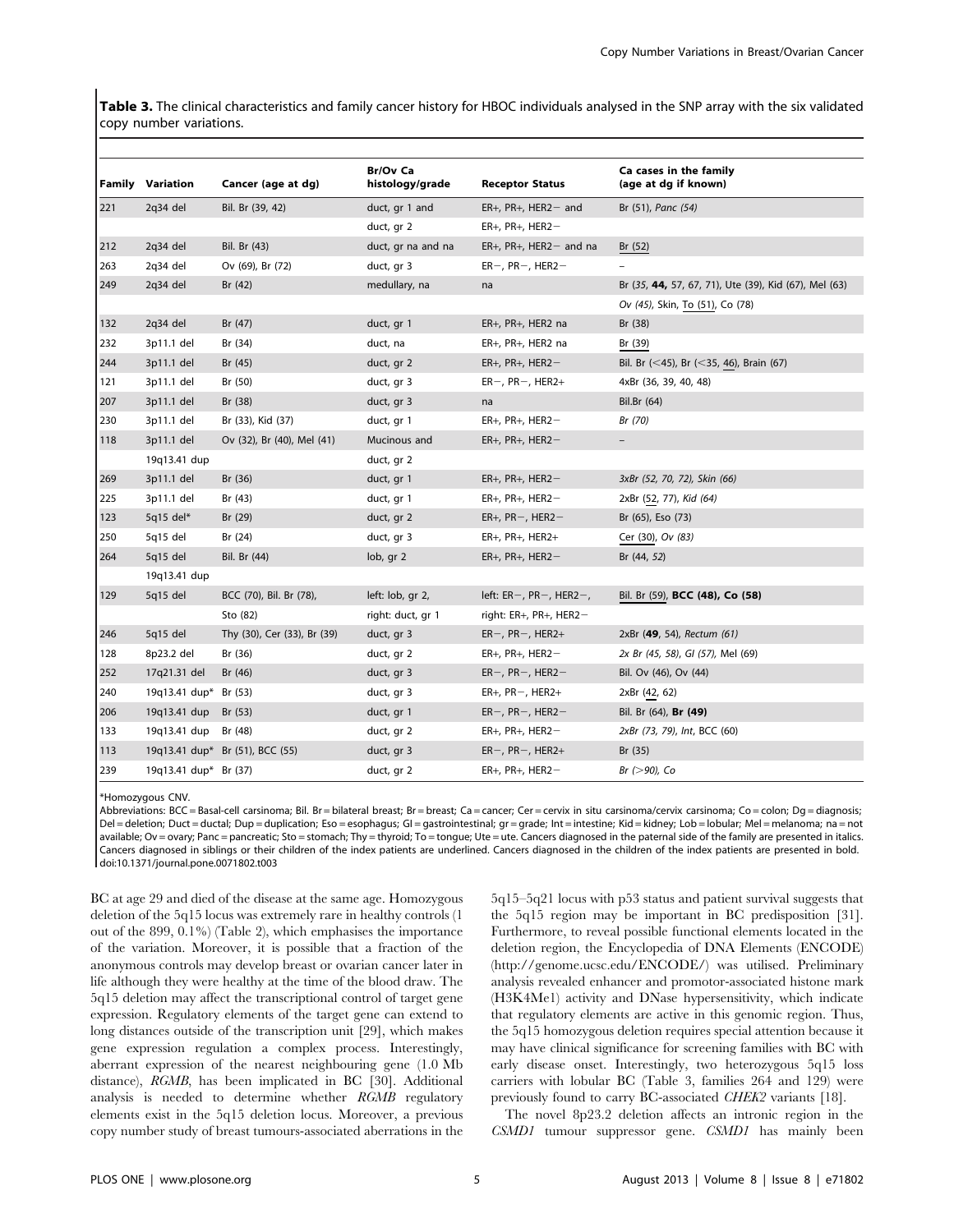Table 3. The clinical characteristics and family cancer history for HBOC individuals analysed in the SNP array with the six validated copy number variations.

|     | <b>Family Variation</b> | Cancer (age at dg)              | <b>Br/Ov Ca</b><br>histology/grade | <b>Receptor Status</b>          | Ca cases in the family<br>(age at dg if known)        |
|-----|-------------------------|---------------------------------|------------------------------------|---------------------------------|-------------------------------------------------------|
| 221 | 2q34 del                | Bil. Br (39, 42)                | duct, gr 1 and                     | $ER+$ , PR+, HER2 – and         | Br (51), Panc (54)                                    |
|     |                         |                                 | duct, gr 2                         | $ER+, PR+, HER2-$               |                                                       |
| 212 | $2q34$ del              | Bil. Br (43)                    | duct, gr na and na                 | $ER+, PR+, HER2-$ and na        | Br $(52)$                                             |
| 263 | 2q34 del                | Ov (69), Br (72)                | duct, gr 3                         | $ER-, PR-, HER2-$               | $\qquad \qquad -$                                     |
| 249 | 2q34 del                | Br (42)                         | medullary, na                      | na                              | Br (35, 44, 57, 67, 71), Ute (39), Kid (67), Mel (63) |
|     |                         |                                 |                                    |                                 | Ov (45), Skin, To (51), Co (78)                       |
| 132 | $2q34$ del              | Br (47)                         | duct, gr 1                         | ER+, PR+, HER2 na               | Br (38)                                               |
| 232 | 3p11.1 del              | Br (34)                         | duct, na                           | ER+, PR+, HER2 na               | Br (39)                                               |
| 244 | 3p11.1 del              | Br $(45)$                       | duct, gr 2                         | $ER+, PR+, HER2-$               | Bil. Br (<45), Br (<35, 46), Brain (67)               |
| 121 | 3p11.1 del              | Br (50)                         | duct, gr 3                         | $ER-, PR-, HER2+$               | 4xBr (36, 39, 40, 48)                                 |
| 207 | 3p11.1 del              | Br (38)                         | duct, gr 3                         | na                              | Bil.Br (64)                                           |
| 230 | 3p11.1 del              | Br (33), Kid (37)               | duct, gr 1                         | $ER+, PR+, HER2-$               | Br (70)                                               |
| 118 | 3p11.1 del              | Ov (32), Br (40), Mel (41)      | Mucinous and                       | $ER+, PR+, HER2-$               |                                                       |
|     | 19q13.41 dup            |                                 | duct, gr 2                         |                                 |                                                       |
| 269 | 3p11.1 del              | Br (36)                         | duct, gr 1                         | $ER+, PR+, HER2-$               | 3xBr (52, 70, 72), Skin (66)                          |
| 225 | 3p11.1 del              | Br (43)                         | duct, gr 1                         | $ER+, PR+, HER2-$               | 2xBr (52, 77), Kid (64)                               |
| 123 | 5q15 del $*$            | Br (29)                         | duct, gr 2                         | $ER+, PR-, HER2-$               | Br (65), Eso (73)                                     |
| 250 | 5q15 del                | Br (24)                         | duct, gr 3                         | $ER+, PR+, HER2+$               | Cer (30), Ov (83)                                     |
| 264 | $5q15$ del              | Bil. Br (44)                    | lob, gr 2                          | $ER+, PR+, HER2-$               | Br (44, 52)                                           |
|     | 19q13.41 dup            |                                 |                                    |                                 |                                                       |
| 129 | $5q15$ del              | BCC (70), Bil. Br (78),         | left: lob, gr 2,                   | left: $ER-$ , $PR-$ , $HER2-$ , | Bil. Br (59), BCC (48), Co (58)                       |
|     |                         | Sto (82)                        | right: duct, gr 1                  | right: ER+, PR+, HER2-          |                                                       |
| 246 | 5q15 del                | Thy (30), Cer (33), Br (39)     | duct, gr 3                         | $ER-, PR-, HER2+$               | 2xBr (49, 54), Rectum (61)                            |
| 128 | 8p23.2 del              | Br (36)                         | duct, gr 2                         | $ER+, PR+, HER2-$               | 2x Br (45, 58), GI (57), Mel (69)                     |
| 252 | 17q21.31 del            | Br (46)                         | duct, gr 3                         | $ER-, PR-, HER2-$               | Bil. Ov (46), Ov (44)                                 |
| 240 | 19q13.41 dup* Br (53)   |                                 | duct, gr 3                         | $ER+, PR-, HER2+$               | 2xBr (42, 62)                                         |
| 206 | 19q13.41 dup            | Br $(53)$                       | duct, gr 1                         | $ER-, PR-, HER2-$               | Bil. Br (64), Br (49)                                 |
| 133 | 19g13.41 dup            | Br (48)                         | duct, gr 2                         | $ER+, PR+, HER2-$               | 2xBr (73, 79), Int, BCC (60)                          |
| 113 |                         | 19q13.41 dup* Br (51), BCC (55) | duct, gr 3                         | $ER-, PR-, HER2+$               | Br (35)                                               |
| 239 | 19q13.41 dup* Br (37)   |                                 | duct, gr 2                         | $ER+, PR+, HER2-$               | $Br (>90)$ , Co                                       |

\*Homozygous CNV.

Abbreviations: BCC = Basal-cell carsinoma; Bil. Br = bilateral breast; Br = breast; Ca = cancer; Cer = cervix in situ carsinoma/cervix carsinoma; Co = colon; Dg = diagnosis; Del = deletion; Duct = ductal; Dup = duplication; Eso = esophagus; Gl = gastrointestinal; gr = grade; Int = intestine; Kid = kidney; Lob = lobular; Mel = melanoma; na = not available; Ov = ovary; Panc = pancreatic; Sto = stomach; Thy = thyroid; To = tongue; Ute = ute. Cancers diagnosed in the paternal side of the family are presented in italics. Cancers diagnosed in siblings or their children of the index patients are underlined. Cancers diagnosed in the children of the index patients are presented in bold. doi:10.1371/journal.pone.0071802.t003

BC at age 29 and died of the disease at the same age. Homozygous deletion of the 5q15 locus was extremely rare in healthy controls (1 out of the 899, 0.1%) (Table 2), which emphasises the importance of the variation. Moreover, it is possible that a fraction of the anonymous controls may develop breast or ovarian cancer later in life although they were healthy at the time of the blood draw. The 5q15 deletion may affect the transcriptional control of target gene expression. Regulatory elements of the target gene can extend to long distances outside of the transcription unit [29], which makes gene expression regulation a complex process. Interestingly, aberrant expression of the nearest neighbouring gene (1.0 Mb distance), RGMB, has been implicated in BC [30]. Additional analysis is needed to determine whether RGMB regulatory elements exist in the 5q15 deletion locus. Moreover, a previous copy number study of breast tumours-associated aberrations in the 5q15–5q21 locus with p53 status and patient survival suggests that the 5q15 region may be important in BC predisposition [31]. Furthermore, to reveal possible functional elements located in the deletion region, the Encyclopedia of DNA Elements (ENCODE) (http://genome.ucsc.edu/ENCODE/) was utilised. Preliminary analysis revealed enhancer and promotor-associated histone mark (H3K4Me1) activity and DNase hypersensitivity, which indicate that regulatory elements are active in this genomic region. Thus, the 5q15 homozygous deletion requires special attention because it may have clinical significance for screening families with BC with early disease onset. Interestingly, two heterozygous 5q15 loss carriers with lobular BC (Table 3, families 264 and 129) were previously found to carry BC-associated CHEK2 variants [18].

The novel 8p23.2 deletion affects an intronic region in the CSMD1 tumour suppressor gene. CSMD1 has mainly been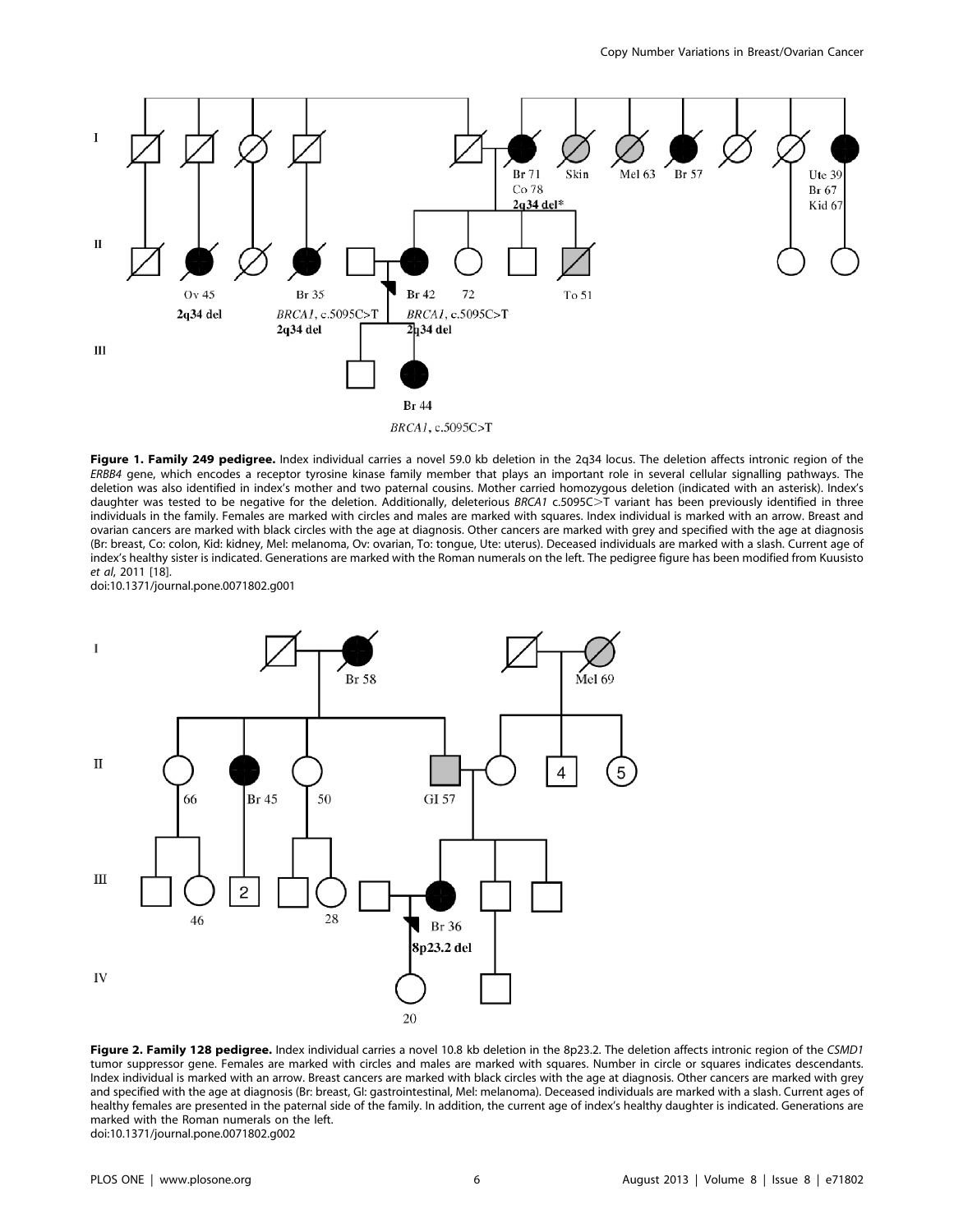

Figure 1. Family 249 pedigree. Index individual carries a novel 59.0 kb deletion in the 2q34 locus. The deletion affects intronic region of the ERBB4 gene, which encodes a receptor tyrosine kinase family member that plays an important role in several cellular signalling pathways. The deletion was also identified in index's mother and two paternal cousins. Mother carried homozygous deletion (indicated with an asterisk). Index's daughter was tested to be negative for the deletion. Additionally, deleterious BRCA1 c.5095C>T variant has been previously identified in three individuals in the family. Females are marked with circles and males are marked with squares. Index individual is marked with an arrow. Breast and ovarian cancers are marked with black circles with the age at diagnosis. Other cancers are marked with grey and specified with the age at diagnosis (Br: breast, Co: colon, Kid: kidney, Mel: melanoma, Ov: ovarian, To: tongue, Ute: uterus). Deceased individuals are marked with a slash. Current age of index's healthy sister is indicated. Generations are marked with the Roman numerals on the left. The pedigree figure has been modified from Kuusisto et al, 2011 [18].

doi:10.1371/journal.pone.0071802.g001



Figure 2. Family 128 pedigree. Index individual carries a novel 10.8 kb deletion in the 8p23.2. The deletion affects intronic region of the CSMD1 tumor suppressor gene. Females are marked with circles and males are marked with squares. Number in circle or squares indicates descendants. Index individual is marked with an arrow. Breast cancers are marked with black circles with the age at diagnosis. Other cancers are marked with grey and specified with the age at diagnosis (Br: breast, GI: gastrointestinal, Mel: melanoma). Deceased individuals are marked with a slash. Current ages of healthy females are presented in the paternal side of the family. In addition, the current age of index's healthy daughter is indicated. Generations are marked with the Roman numerals on the left. doi:10.1371/journal.pone.0071802.g002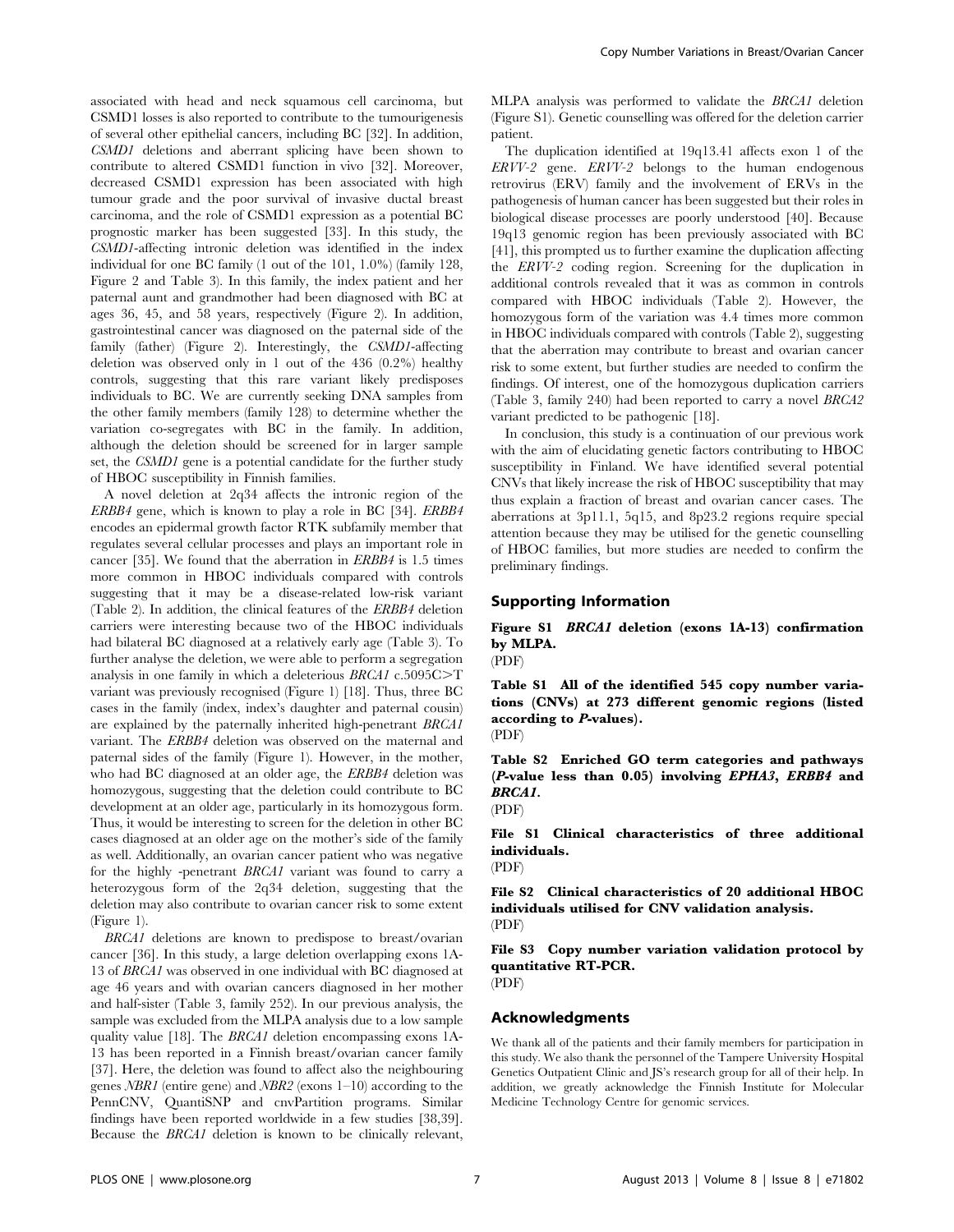associated with head and neck squamous cell carcinoma, but CSMD1 losses is also reported to contribute to the tumourigenesis of several other epithelial cancers, including BC [32]. In addition, CSMD1 deletions and aberrant splicing have been shown to contribute to altered CSMD1 function in vivo [32]. Moreover, decreased CSMD1 expression has been associated with high tumour grade and the poor survival of invasive ductal breast carcinoma, and the role of CSMD1 expression as a potential BC prognostic marker has been suggested [33]. In this study, the CSMD1-affecting intronic deletion was identified in the index individual for one BC family (1 out of the 101, 1.0%) (family 128, Figure 2 and Table 3). In this family, the index patient and her paternal aunt and grandmother had been diagnosed with BC at ages 36, 45, and 58 years, respectively (Figure 2). In addition, gastrointestinal cancer was diagnosed on the paternal side of the family (father) (Figure 2). Interestingly, the CSMD1-affecting deletion was observed only in 1 out of the 436 (0.2%) healthy controls, suggesting that this rare variant likely predisposes individuals to BC. We are currently seeking DNA samples from the other family members (family 128) to determine whether the variation co-segregates with BC in the family. In addition, although the deletion should be screened for in larger sample set, the CSMD1 gene is a potential candidate for the further study of HBOC susceptibility in Finnish families.

A novel deletion at 2q34 affects the intronic region of the ERBB4 gene, which is known to play a role in BC [34]. ERBB4 encodes an epidermal growth factor RTK subfamily member that regulates several cellular processes and plays an important role in cancer [35]. We found that the aberration in ERBB4 is 1.5 times more common in HBOC individuals compared with controls suggesting that it may be a disease-related low-risk variant (Table 2). In addition, the clinical features of the ERBB4 deletion carriers were interesting because two of the HBOC individuals had bilateral BC diagnosed at a relatively early age (Table 3). To further analyse the deletion, we were able to perform a segregation analysis in one family in which a deleterious  $BRCA1$  c.5095C $\geq$ T variant was previously recognised (Figure 1) [18]. Thus, three BC cases in the family (index, index's daughter and paternal cousin) are explained by the paternally inherited high-penetrant BRCA1 variant. The ERBB4 deletion was observed on the maternal and paternal sides of the family (Figure 1). However, in the mother, who had BC diagnosed at an older age, the ERBB4 deletion was homozygous, suggesting that the deletion could contribute to BC development at an older age, particularly in its homozygous form. Thus, it would be interesting to screen for the deletion in other BC cases diagnosed at an older age on the mother's side of the family as well. Additionally, an ovarian cancer patient who was negative for the highly -penetrant BRCA1 variant was found to carry a heterozygous form of the 2q34 deletion, suggesting that the deletion may also contribute to ovarian cancer risk to some extent (Figure 1).

BRCA1 deletions are known to predispose to breast/ovarian cancer [36]. In this study, a large deletion overlapping exons 1A-13 of BRCA1 was observed in one individual with BC diagnosed at age 46 years and with ovarian cancers diagnosed in her mother and half-sister (Table 3, family 252). In our previous analysis, the sample was excluded from the MLPA analysis due to a low sample quality value [18]. The BRCA1 deletion encompassing exons 1A-13 has been reported in a Finnish breast/ovarian cancer family [37]. Here, the deletion was found to affect also the neighbouring genes  $NBR1$  (entire gene) and  $NBR2$  (exons 1–10) according to the PennCNV, QuantiSNP and cnvPartition programs. Similar findings have been reported worldwide in a few studies [38,39]. Because the BRCA1 deletion is known to be clinically relevant,

MLPA analysis was performed to validate the BRCA1 deletion (Figure S1). Genetic counselling was offered for the deletion carrier patient.

The duplication identified at 19q13.41 affects exon 1 of the ERVV-2 gene. ERVV-2 belongs to the human endogenous retrovirus (ERV) family and the involvement of ERVs in the pathogenesis of human cancer has been suggested but their roles in biological disease processes are poorly understood [40]. Because 19q13 genomic region has been previously associated with BC [41], this prompted us to further examine the duplication affecting the ERVV-2 coding region. Screening for the duplication in additional controls revealed that it was as common in controls compared with HBOC individuals (Table 2). However, the homozygous form of the variation was 4.4 times more common in HBOC individuals compared with controls (Table 2), suggesting that the aberration may contribute to breast and ovarian cancer risk to some extent, but further studies are needed to confirm the findings. Of interest, one of the homozygous duplication carriers (Table 3, family 240) had been reported to carry a novel BRCA2 variant predicted to be pathogenic [18].

In conclusion, this study is a continuation of our previous work with the aim of elucidating genetic factors contributing to HBOC susceptibility in Finland. We have identified several potential CNVs that likely increase the risk of HBOC susceptibility that may thus explain a fraction of breast and ovarian cancer cases. The aberrations at 3p11.1, 5q15, and 8p23.2 regions require special attention because they may be utilised for the genetic counselling of HBOC families, but more studies are needed to confirm the preliminary findings.

#### Supporting Information

Figure S1 BRCA1 deletion (exons 1A-13) confirmation by MLPA.

(PDF)

Table S1 All of the identified 545 copy number variations (CNVs) at 273 different genomic regions (listed according to P-values).

(PDF)

Table S2 Enriched GO term categories and pathways (P-value less than 0.05) involving EPHA3, ERBB4 and BRCA1.

(PDF)

File S1 Clinical characteristics of three additional individuals.

(PDF)

File S2 Clinical characteristics of 20 additional HBOC individuals utilised for CNV validation analysis. (PDF)

File S3 Copy number variation validation protocol by quantitative RT-PCR.

(PDF)

#### Acknowledgments

We thank all of the patients and their family members for participation in this study. We also thank the personnel of the Tampere University Hospital Genetics Outpatient Clinic and JS's research group for all of their help. In addition, we greatly acknowledge the Finnish Institute for Molecular Medicine Technology Centre for genomic services.